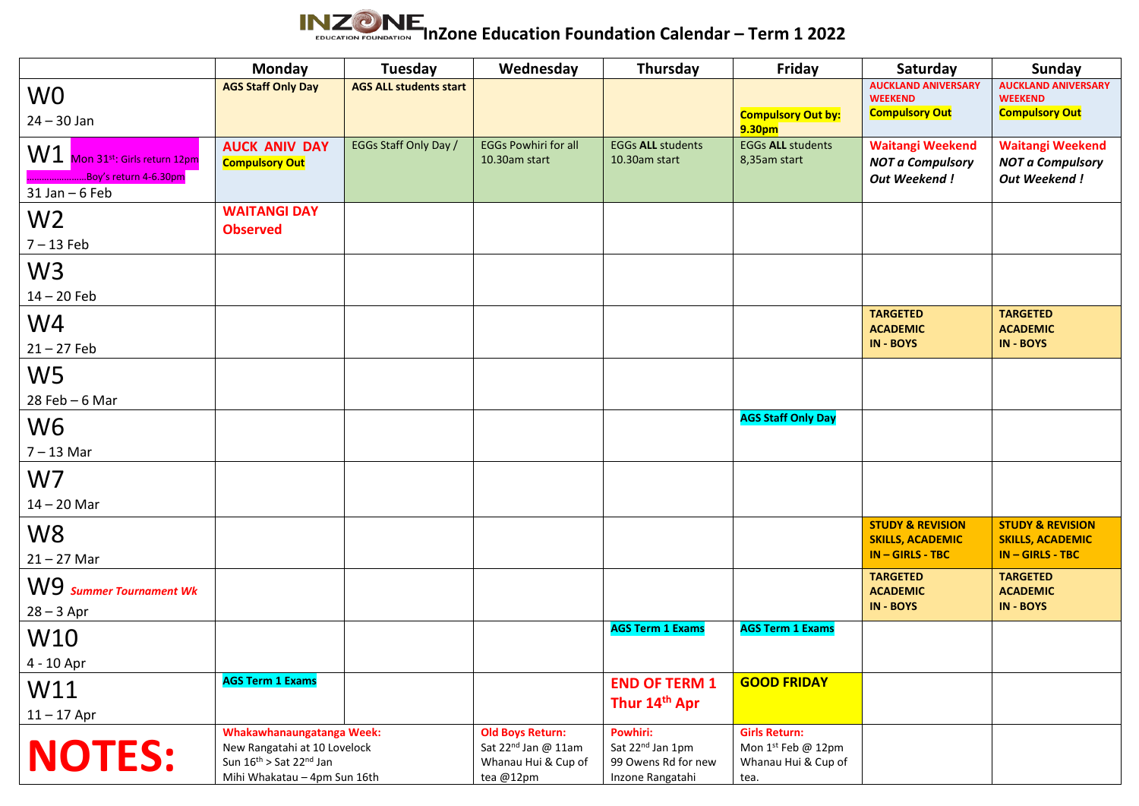

|                                                                              | <b>Monday</b>                                                                                                        | Tuesday                       | Wednesday                                                                                      | Thursday                                                                            | Friday                                                                    | Saturday                                                                     | Sunday                                                                    |
|------------------------------------------------------------------------------|----------------------------------------------------------------------------------------------------------------------|-------------------------------|------------------------------------------------------------------------------------------------|-------------------------------------------------------------------------------------|---------------------------------------------------------------------------|------------------------------------------------------------------------------|---------------------------------------------------------------------------|
| W <sub>0</sub><br>$24 - 30$ Jan                                              | <b>AGS Staff Only Day</b>                                                                                            | <b>AGS ALL students start</b> |                                                                                                |                                                                                     | <b>Compulsory Out by:</b><br>9.30pm                                       | <b>AUCKLAND ANIVERSARY</b><br><b>WEEKEND</b><br><b>Compulsory Out</b>        | <b>AUCKLAND ANIVERSARY</b><br><b>WEEKEND</b><br><b>Compulsory Out</b>     |
| W1 Mon 31st: Girls return 12pm<br>Boy's return 4-6.30pm<br>$31$ Jan $-6$ Feb | <b>AUCK ANIV DAY</b><br><b>Compulsory Out</b>                                                                        | EGGs Staff Only Day /         | <b>EGGs Powhiri for all</b><br>10.30am start                                                   | <b>EGGs ALL students</b><br>10.30am start                                           | <b>EGGs ALL students</b><br>8,35am start                                  | <b>Waitangi Weekend</b><br><b>NOT a Compulsory</b><br><b>Out Weekend!</b>    | <b>Waitangi Weekend</b><br><b>NOT a Compulsory</b><br><b>Out Weekend!</b> |
| W <sub>2</sub><br>$7 - 13$ Feb                                               | <b>WAITANGI DAY</b><br><b>Observed</b>                                                                               |                               |                                                                                                |                                                                                     |                                                                           |                                                                              |                                                                           |
| W <sub>3</sub><br>$14 - 20$ Feb                                              |                                                                                                                      |                               |                                                                                                |                                                                                     |                                                                           |                                                                              |                                                                           |
| W4<br>$21 - 27$ Feb                                                          |                                                                                                                      |                               |                                                                                                |                                                                                     |                                                                           | <b>TARGETED</b><br><b>ACADEMIC</b><br><b>IN-BOYS</b>                         | <b>TARGETED</b><br><b>ACADEMIC</b><br>IN - BOYS                           |
| W <sub>5</sub><br>$28$ Feb - 6 Mar                                           |                                                                                                                      |                               |                                                                                                |                                                                                     |                                                                           |                                                                              |                                                                           |
| W <sub>6</sub><br>$7 - 13$ Mar                                               |                                                                                                                      |                               |                                                                                                |                                                                                     | <b>AGS Staff Only Day</b>                                                 |                                                                              |                                                                           |
| W7<br>$14 - 20$ Mar                                                          |                                                                                                                      |                               |                                                                                                |                                                                                     |                                                                           |                                                                              |                                                                           |
| W <sub>8</sub><br>$21 - 27$ Mar                                              |                                                                                                                      |                               |                                                                                                |                                                                                     |                                                                           | <b>STUDY &amp; REVISION</b><br><b>SKILLS, ACADEMIC</b><br>$IN - GIRLS - TBC$ | <b>STUDY &amp; REVISION</b><br><b>SKILLS, ACADEMIC</b><br>IN-GIRLS-TBC    |
| W9 Summer Tournament Wk<br>$28 - 3$ Apr                                      |                                                                                                                      |                               |                                                                                                |                                                                                     |                                                                           | <b>TARGETED</b><br><b>ACADEMIC</b><br><b>IN-BOYS</b>                         | <b>TARGETED</b><br><b>ACADEMIC</b><br><b>IN - BOYS</b>                    |
| W10<br>4 - 10 Apr                                                            |                                                                                                                      |                               |                                                                                                | <b>AGS Term 1 Exams</b>                                                             | <b>AGS Term 1 Exams</b>                                                   |                                                                              |                                                                           |
| W11<br>$11 - 17$ Apr                                                         | <b>AGS Term 1 Exams</b>                                                                                              |                               |                                                                                                | <b>END OF TERM 1</b><br>Thur 14th Apr                                               | <b>GOOD FRIDAY</b>                                                        |                                                                              |                                                                           |
| <b>NOTES:</b>                                                                | Whakawhanaungatanga Week:<br>New Rangatahi at 10 Lovelock<br>Sun 16th > Sat 22nd Jan<br>Mihi Whakatau - 4pm Sun 16th |                               | <b>Old Boys Return:</b><br>Sat 22 <sup>nd</sup> Jan @ 11am<br>Whanau Hui & Cup of<br>tea @12pm | Powhiri:<br>Sat 22 <sup>nd</sup> Jan 1pm<br>99 Owens Rd for new<br>Inzone Rangatahi | <b>Girls Return:</b><br>Mon 1st Feb @ 12pm<br>Whanau Hui & Cup of<br>tea. |                                                                              |                                                                           |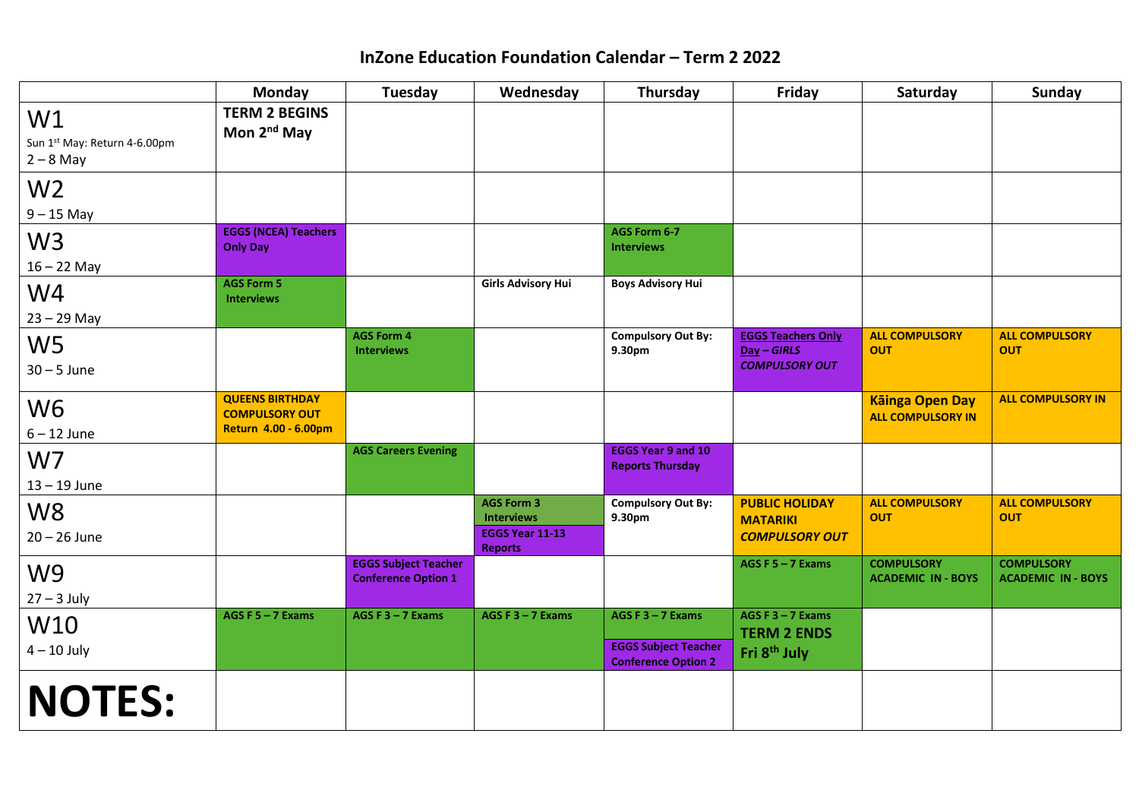## **InZone Education Foundation Calendar – Term 2 2022**

|                                                   | Monday                                                                  | Tuesday                                                   | Wednesday                                                                   | Thursday                                                                         | Friday                                                                | Saturday                                           | <b>Sunday</b>                                  |
|---------------------------------------------------|-------------------------------------------------------------------------|-----------------------------------------------------------|-----------------------------------------------------------------------------|----------------------------------------------------------------------------------|-----------------------------------------------------------------------|----------------------------------------------------|------------------------------------------------|
| W1<br>Sun 1st May: Return 4-6.00pm<br>$2 - 8$ May | <b>TERM 2 BEGINS</b><br>Mon 2 <sup>nd</sup> May                         |                                                           |                                                                             |                                                                                  |                                                                       |                                                    |                                                |
| W <sub>2</sub><br>$9 - 15$ May                    |                                                                         |                                                           |                                                                             |                                                                                  |                                                                       |                                                    |                                                |
| W <sub>3</sub><br>$16 - 22$ May                   | <b>EGGS (NCEA) Teachers</b><br><b>Only Day</b>                          |                                                           |                                                                             | AGS Form 6-7<br><b>Interviews</b>                                                |                                                                       |                                                    |                                                |
| W4<br>$23 - 29$ May                               | <b>AGS Form 5</b><br><b>Interviews</b>                                  |                                                           | <b>Girls Advisory Hui</b>                                                   | <b>Boys Advisory Hui</b>                                                         |                                                                       |                                                    |                                                |
| W <sub>5</sub><br>$30 - 5$ June                   |                                                                         | <b>AGS Form 4</b><br><b>Interviews</b>                    |                                                                             | <b>Compulsory Out By:</b><br>9.30pm                                              | <b>EGGS Teachers Only</b><br>$Day - GIRLS$<br><b>COMPULSORY OUT</b>   | <b>ALL COMPULSORY</b><br><b>OUT</b>                | <b>ALL COMPULSORY</b><br><b>OUT</b>            |
| W <sub>6</sub><br>$6 - 12$ June                   | <b>QUEENS BIRTHDAY</b><br><b>COMPULSORY OUT</b><br>Return 4.00 - 6.00pm |                                                           |                                                                             |                                                                                  |                                                                       | <b>Kāinga Open Day</b><br><b>ALL COMPULSORY IN</b> | <b>ALL COMPULSORY IN</b>                       |
| W7<br>$13 - 19$ June                              |                                                                         | <b>AGS Careers Evening</b>                                |                                                                             | <b>EGGS Year 9 and 10</b><br><b>Reports Thursday</b>                             |                                                                       |                                                    |                                                |
| W <sub>8</sub><br>$20 - 26$ June                  |                                                                         |                                                           | <b>AGS Form 3</b><br><b>Interviews</b><br>EGGS Year 11-13<br><b>Reports</b> | <b>Compulsory Out By:</b><br>9.30pm                                              | <b>PUBLIC HOLIDAY</b><br><b>MATARIKI</b><br><b>COMPULSORY OUT</b>     | <b>ALL COMPULSORY</b><br><b>OUT</b>                | <b>ALL COMPULSORY</b><br><b>OUT</b>            |
| W <sub>9</sub><br>$27 - 3$ July                   |                                                                         | <b>EGGS Subject Teacher</b><br><b>Conference Option 1</b> |                                                                             |                                                                                  | AGS F $5 - 7$ Exams                                                   | <b>COMPULSORY</b><br><b>ACADEMIC IN - BOYS</b>     | <b>COMPULSORY</b><br><b>ACADEMIC IN - BOYS</b> |
| W10<br>$4 - 10$ July                              | AGS F $5 - 7$ Exams                                                     | AGS F $3 - 7$ Exams                                       | AGS F $3 - 7$ Exams                                                         | AGS F $3 - 7$ Exams<br><b>EGGS Subject Teacher</b><br><b>Conference Option 2</b> | AGS F $3 - 7$ Exams<br><b>TERM 2 ENDS</b><br>Fri 8 <sup>th</sup> July |                                                    |                                                |
| <b>NOTES:</b>                                     |                                                                         |                                                           |                                                                             |                                                                                  |                                                                       |                                                    |                                                |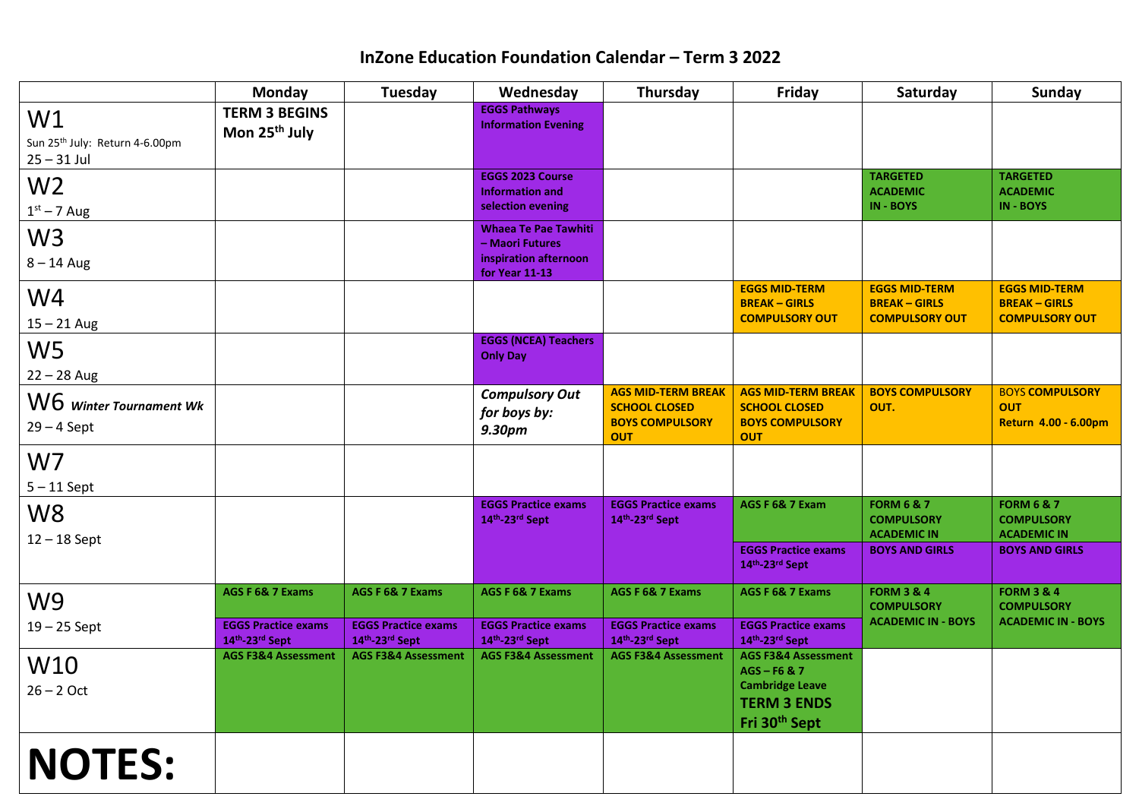## **InZone Education Foundation Calendar – Term 3 2022**

|                                            | Monday                                           | Tuesday                                          | Wednesday                                          | Thursday                                         | Friday                                           | Saturday                                   | Sunday                                       |
|--------------------------------------------|--------------------------------------------------|--------------------------------------------------|----------------------------------------------------|--------------------------------------------------|--------------------------------------------------|--------------------------------------------|----------------------------------------------|
| W1                                         | <b>TERM 3 BEGINS</b>                             |                                                  | <b>EGGS Pathways</b><br><b>Information Evening</b> |                                                  |                                                  |                                            |                                              |
| Sun 25 <sup>th</sup> July: Return 4-6.00pm | Mon 25 <sup>th</sup> July                        |                                                  |                                                    |                                                  |                                                  |                                            |                                              |
| $25 - 31$ Jul                              |                                                  |                                                  |                                                    |                                                  |                                                  |                                            |                                              |
| W <sub>2</sub>                             |                                                  |                                                  | <b>EGGS 2023 Course</b><br><b>Information and</b>  |                                                  |                                                  | <b>TARGETED</b><br><b>ACADEMIC</b>         | <b>TARGETED</b><br><b>ACADEMIC</b>           |
| $1st - 7$ Aug                              |                                                  |                                                  | selection evening                                  |                                                  |                                                  | <b>IN-BOYS</b>                             | IN - BOYS                                    |
| W <sub>3</sub>                             |                                                  |                                                  | <b>Whaea Te Pae Tawhiti</b><br>- Maori Futures     |                                                  |                                                  |                                            |                                              |
| $8 - 14$ Aug                               |                                                  |                                                  | inspiration afternoon                              |                                                  |                                                  |                                            |                                              |
|                                            |                                                  |                                                  | for Year 11-13                                     |                                                  |                                                  |                                            |                                              |
| W4                                         |                                                  |                                                  |                                                    |                                                  | <b>EGGS MID-TERM</b><br><b>BREAK-GIRLS</b>       | <b>EGGS MID-TERM</b><br><b>BREAK-GIRLS</b> | <b>EGGS MID-TERM</b><br><b>BREAK - GIRLS</b> |
| $15 - 21$ Aug                              |                                                  |                                                  |                                                    |                                                  | <b>COMPULSORY OUT</b>                            | <b>COMPULSORY OUT</b>                      | <b>COMPULSORY OUT</b>                        |
| W <sub>5</sub>                             |                                                  |                                                  | <b>EGGS (NCEA) Teachers</b><br><b>Only Day</b>     |                                                  |                                                  |                                            |                                              |
| $22 - 28$ Aug                              |                                                  |                                                  |                                                    |                                                  |                                                  |                                            |                                              |
| W6 Winter Tournament Wk                    |                                                  |                                                  | <b>Compulsory Out</b>                              | <b>AGS MID-TERM BREAK</b>                        | <b>AGS MID-TERM BREAK</b>                        | <b>BOYS COMPULSORY</b>                     | <b>BOYS COMPULSORY</b>                       |
| $29 - 4$ Sept                              |                                                  |                                                  | for boys by:                                       | <b>SCHOOL CLOSED</b><br><b>BOYS COMPULSORY</b>   | <b>SCHOOL CLOSED</b><br><b>BOYS COMPULSORY</b>   | OUT.                                       | <b>OUT</b><br>Return 4.00 - 6.00pm           |
|                                            |                                                  |                                                  | 9.30pm                                             | <b>OUT</b>                                       | <b>OUT</b>                                       |                                            |                                              |
| W <sub>7</sub>                             |                                                  |                                                  |                                                    |                                                  |                                                  |                                            |                                              |
| $5 - 11$ Sept                              |                                                  |                                                  |                                                    |                                                  |                                                  |                                            |                                              |
| W <sub>8</sub>                             |                                                  |                                                  | <b>EGGS Practice exams</b>                         | <b>EGGS Practice exams</b>                       | AGS F 6& 7 Exam                                  | <b>FORM 6 &amp; 7</b>                      | <b>FORM 6 &amp; 7</b>                        |
| $12 - 18$ Sept                             |                                                  |                                                  | 14th-23rd Sept                                     | 14 <sup>th</sup> -23 <sup>rd</sup> Sept          |                                                  | <b>COMPULSORY</b><br><b>ACADEMIC IN</b>    | <b>COMPULSORY</b><br><b>ACADEMIC IN</b>      |
|                                            |                                                  |                                                  |                                                    |                                                  | <b>EGGS Practice exams</b><br>14th-23rd Sept     | <b>BOYS AND GIRLS</b>                      | <b>BOYS AND GIRLS</b>                        |
|                                            |                                                  |                                                  |                                                    |                                                  |                                                  |                                            |                                              |
| W <sub>9</sub>                             | AGS F 6& 7 Exams                                 | AGS F 6& 7 Exams                                 | AGS F 6& 7 Exams                                   | AGS F 6& 7 Exams                                 | AGS F 6& 7 Exams                                 | <b>FORM 3 &amp; 4</b><br><b>COMPULSORY</b> | <b>FORM 3 &amp; 4</b><br><b>COMPULSORY</b>   |
| $19 - 25$ Sept                             | <b>EGGS Practice exams</b>                       | <b>EGGS Practice exams</b>                       | <b>EGGS Practice exams</b>                         | <b>EGGS Practice exams</b>                       | <b>EGGS Practice exams</b>                       | <b>ACADEMIC IN - BOYS</b>                  | <b>ACADEMIC IN - BOYS</b>                    |
|                                            | 14th-23rd Sept<br><b>AGS F3&amp;4 Assessment</b> | 14th-23rd Sept<br><b>AGS F3&amp;4 Assessment</b> | 14th-23rd Sept<br><b>AGS F3&amp;4 Assessment</b>   | 14th-23rd Sept<br><b>AGS F3&amp;4 Assessment</b> | 14th-23rd Sept<br><b>AGS F3&amp;4 Assessment</b> |                                            |                                              |
| W10                                        |                                                  |                                                  |                                                    |                                                  | AGS-F6&7                                         |                                            |                                              |
| $26 - 2$ Oct                               |                                                  |                                                  |                                                    |                                                  | <b>Cambridge Leave</b>                           |                                            |                                              |
|                                            |                                                  |                                                  |                                                    |                                                  | <b>TERM 3 ENDS</b><br>Fri 30 <sup>th</sup> Sept  |                                            |                                              |
|                                            |                                                  |                                                  |                                                    |                                                  |                                                  |                                            |                                              |
| <b>NOTES:</b>                              |                                                  |                                                  |                                                    |                                                  |                                                  |                                            |                                              |
|                                            |                                                  |                                                  |                                                    |                                                  |                                                  |                                            |                                              |